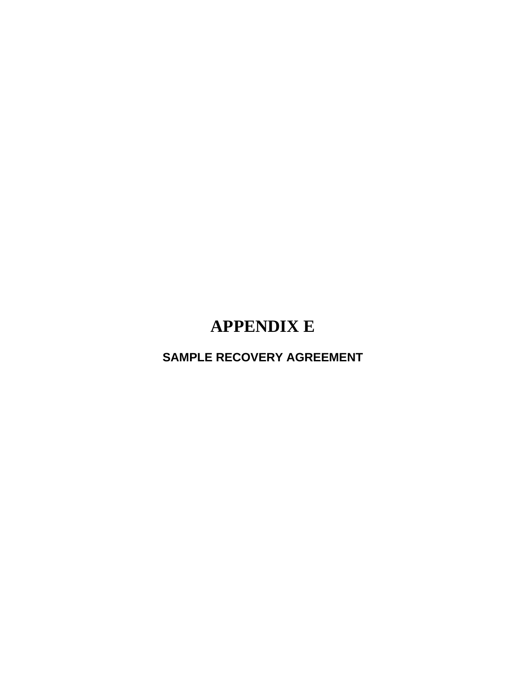## **APPENDIX E**

**SAMPLE RECOVERY AGREEMENT**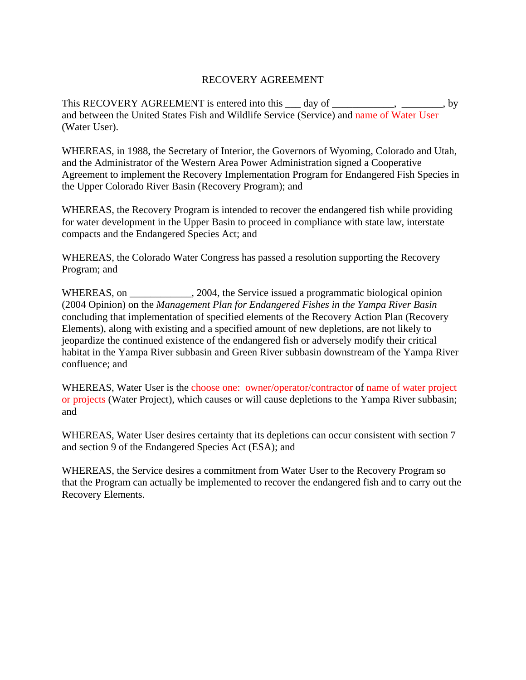## RECOVERY AGREEMENT

This RECOVERY AGREEMENT is entered into this  $\_\_$  day of  $\_\_$ and between the United States Fish and Wildlife Service (Service) and name of Water User (Water User).

WHEREAS, in 1988, the Secretary of Interior, the Governors of Wyoming, Colorado and Utah, and the Administrator of the Western Area Power Administration signed a Cooperative Agreement to implement the Recovery Implementation Program for Endangered Fish Species in the Upper Colorado River Basin (Recovery Program); and

WHEREAS, the Recovery Program is intended to recover the endangered fish while providing for water development in the Upper Basin to proceed in compliance with state law, interstate compacts and the Endangered Species Act; and

WHEREAS, the Colorado Water Congress has passed a resolution supporting the Recovery Program; and

WHEREAS, on \_\_\_\_\_\_\_\_\_\_\_, 2004, the Service issued a programmatic biological opinion (2004 Opinion) on the *Management Plan for Endangered Fishes in the Yampa River Basin*  concluding that implementation of specified elements of the Recovery Action Plan (Recovery Elements), along with existing and a specified amount of new depletions, are not likely to jeopardize the continued existence of the endangered fish or adversely modify their critical habitat in the Yampa River subbasin and Green River subbasin downstream of the Yampa River confluence; and

WHEREAS, Water User is the choose one: owner/operator/contractor of name of water project or projects (Water Project), which causes or will cause depletions to the Yampa River subbasin; and

WHEREAS, Water User desires certainty that its depletions can occur consistent with section 7 and section 9 of the Endangered Species Act (ESA); and

WHEREAS, the Service desires a commitment from Water User to the Recovery Program so that the Program can actually be implemented to recover the endangered fish and to carry out the Recovery Elements.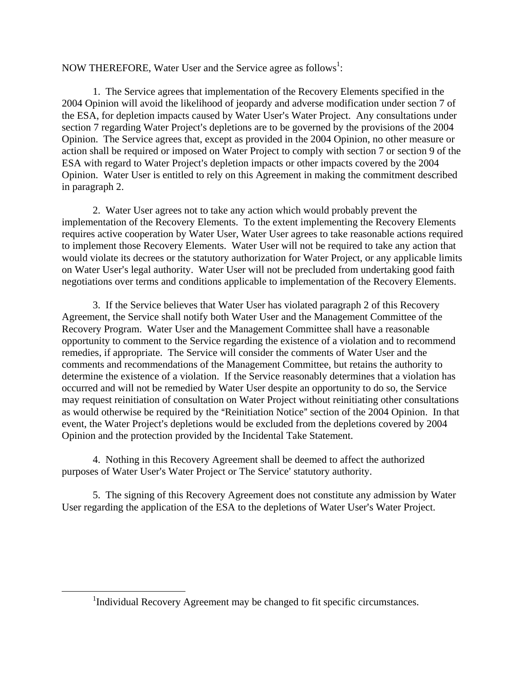## NOW THEREFORE, Water User and the Service agree as follows<sup>1</sup>:

1. The Service agrees that implementation of the Recovery Elements specified in the 2004 Opinion will avoid the likelihood of jeopardy and adverse modification under section 7 of the ESA, for depletion impacts caused by Water User's Water Project. Any consultations under section 7 regarding Water Project's depletions are to be governed by the provisions of the 2004 Opinion. The Service agrees that, except as provided in the 2004 Opinion, no other measure or action shall be required or imposed on Water Project to comply with section 7 or section 9 of the ESA with regard to Water Project's depletion impacts or other impacts covered by the 2004 Opinion. Water User is entitled to rely on this Agreement in making the commitment described in paragraph 2.

2. Water User agrees not to take any action which would probably prevent the implementation of the Recovery Elements. To the extent implementing the Recovery Elements requires active cooperation by Water User, Water User agrees to take reasonable actions required to implement those Recovery Elements. Water User will not be required to take any action that would violate its decrees or the statutory authorization for Water Project, or any applicable limits on Water User's legal authority. Water User will not be precluded from undertaking good faith negotiations over terms and conditions applicable to implementation of the Recovery Elements.

3. If the Service believes that Water User has violated paragraph 2 of this Recovery Agreement, the Service shall notify both Water User and the Management Committee of the Recovery Program. Water User and the Management Committee shall have a reasonable opportunity to comment to the Service regarding the existence of a violation and to recommend remedies, if appropriate. The Service will consider the comments of Water User and the comments and recommendations of the Management Committee, but retains the authority to determine the existence of a violation. If the Service reasonably determines that a violation has occurred and will not be remedied by Water User despite an opportunity to do so, the Service may request reinitiation of consultation on Water Project without reinitiating other consultations as would otherwise be required by the "Reinitiation Notice" section of the 2004 Opinion. In that event, the Water Project's depletions would be excluded from the depletions covered by 2004 Opinion and the protection provided by the Incidental Take Statement.

4. Nothing in this Recovery Agreement shall be deemed to affect the authorized purposes of Water User's Water Project or The Service' statutory authority.

5. The signing of this Recovery Agreement does not constitute any admission by Water User regarding the application of the ESA to the depletions of Water User's Water Project.

<sup>&</sup>lt;u>1</u>  $<sup>1</sup>$ Individual Recovery Agreement may be changed to fit specific circumstances.</sup>